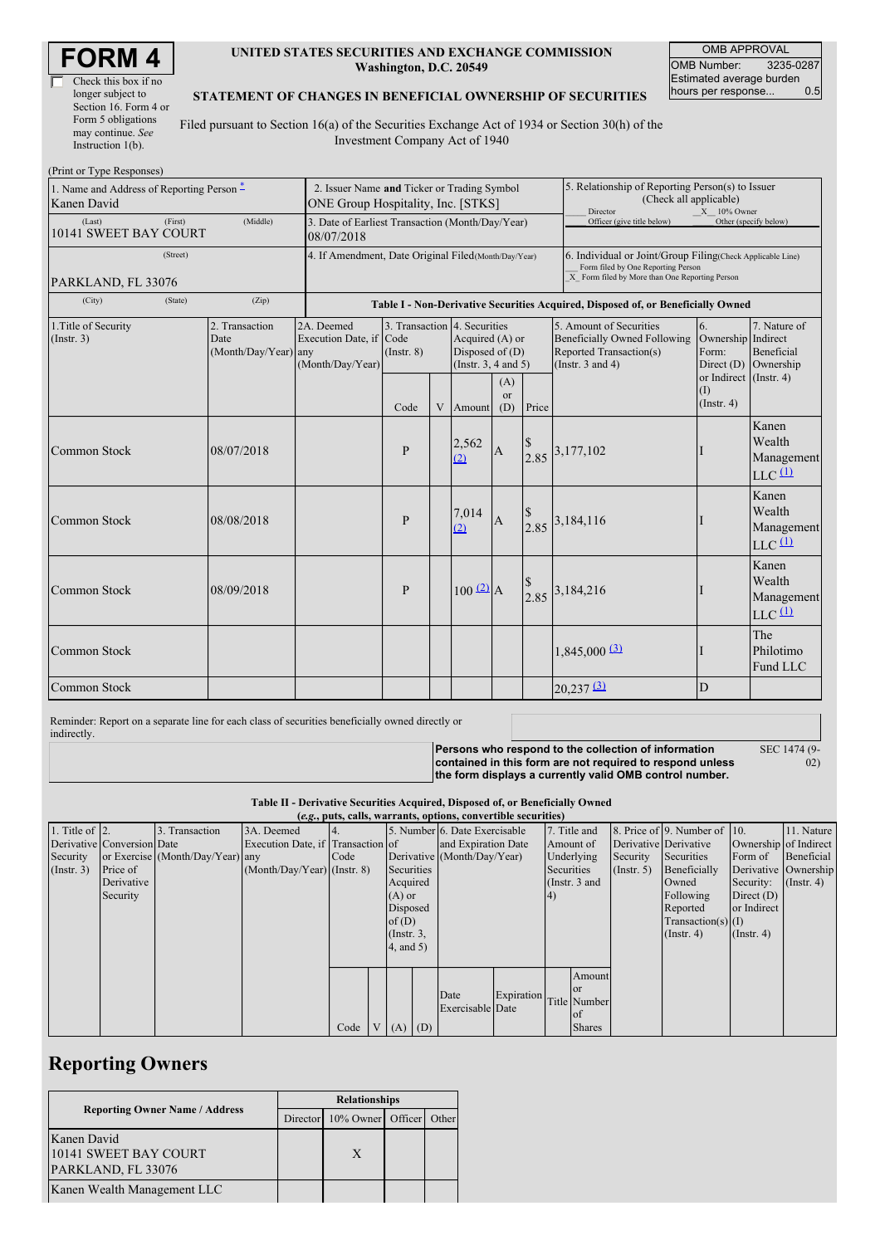| Check this box if no  |
|-----------------------|
| longer subject to     |
| Section 16. Form 4 or |
| Form 5 obligations    |
| may continue. See     |
| Instruction $1(b)$ .  |

#### **UNITED STATES SECURITIES AND EXCHANGE COMMISSION Washington, D.C. 20549**

OMB APPROVAL OMB Number: 3235-0287 Estimated average burden<br>hours per response... 0.5 hours per response...

#### **STATEMENT OF CHANGES IN BENEFICIAL OWNERSHIP OF SECURITIES**

Filed pursuant to Section 16(a) of the Securities Exchange Act of 1934 or Section 30(h) of the Investment Company Act of 1940

| (Print or Type Responses)                                |         |                                                |                                                                                   |                                                                                  |   |                                                                                                  |                  |                            |                                                                                                                                                                       |                                                                                                                                                    |                                                                    |  |  |
|----------------------------------------------------------|---------|------------------------------------------------|-----------------------------------------------------------------------------------|----------------------------------------------------------------------------------|---|--------------------------------------------------------------------------------------------------|------------------|----------------------------|-----------------------------------------------------------------------------------------------------------------------------------------------------------------------|----------------------------------------------------------------------------------------------------------------------------------------------------|--------------------------------------------------------------------|--|--|
| 1. Name and Address of Reporting Person –<br>Kanen David |         |                                                | 2. Issuer Name and Ticker or Trading Symbol<br>ONE Group Hospitality, Inc. [STKS] |                                                                                  |   |                                                                                                  |                  |                            | 5. Relationship of Reporting Person(s) to Issuer<br>(Check all applicable)<br>Director<br>$X = 10\%$ Owner                                                            |                                                                                                                                                    |                                                                    |  |  |
| (First)<br>(Middle)<br>(Last)<br>10141 SWEET BAY COURT   |         |                                                | 3. Date of Earliest Transaction (Month/Day/Year)<br>08/07/2018                    |                                                                                  |   |                                                                                                  |                  | Officer (give title below) |                                                                                                                                                                       | Other (specify below)                                                                                                                              |                                                                    |  |  |
| (Street)<br>PARKLAND, FL 33076                           |         |                                                | 4. If Amendment, Date Original Filed (Month/Day/Year)                             |                                                                                  |   |                                                                                                  |                  |                            |                                                                                                                                                                       | 6. Individual or Joint/Group Filing(Check Applicable Line)<br>Form filed by One Reporting Person<br>X Form filed by More than One Reporting Person |                                                                    |  |  |
| (City)                                                   | (State) | (Zip)                                          |                                                                                   | Table I - Non-Derivative Securities Acquired, Disposed of, or Beneficially Owned |   |                                                                                                  |                  |                            |                                                                                                                                                                       |                                                                                                                                                    |                                                                    |  |  |
| 1. Title of Security<br>(Insert. 3)                      |         | 2. Transaction<br>Date<br>(Month/Day/Year) any | 2A. Deemed<br>Execution Date, if Code<br>(Month/Day/Year)                         | $($ Instr. $8)$                                                                  |   | 3. Transaction 4. Securities<br>Acquired (A) or<br>Disposed of $(D)$<br>(Instr. $3, 4$ and $5$ ) |                  |                            | 5. Amount of Securities<br>6.<br>Ownership Indirect<br><b>Beneficially Owned Following</b><br>Reported Transaction(s)<br>Form:<br>(Instr. $3$ and $4$ )<br>Direct (D) | 7. Nature of<br><b>Beneficial</b><br>Ownership<br>or Indirect (Instr. 4)                                                                           |                                                                    |  |  |
|                                                          |         |                                                |                                                                                   | Code                                                                             | V | Amount                                                                                           | (A)<br>or<br>(D) | Price                      |                                                                                                                                                                       | (1)<br>$($ Instr. 4 $)$                                                                                                                            |                                                                    |  |  |
| <b>Common Stock</b>                                      |         | 08/07/2018                                     |                                                                                   | $\mathbf{P}$                                                                     |   | 2,562<br>(2)                                                                                     | $\overline{A}$   |                            | $2.85$ <sup>3,177,102</sup>                                                                                                                                           |                                                                                                                                                    | Kanen<br>Wealth<br>Management<br>$LLC$ <sup><math>(1)</math></sup> |  |  |
| Common Stock                                             |         | 08/08/2018                                     |                                                                                   | P                                                                                |   | 7,014<br>(2)                                                                                     | $\mathbf{A}$     |                            | $\begin{array}{c} \n\sqrt{5} \\ 2.85\n\end{array}$ 3,184,116                                                                                                          |                                                                                                                                                    | Kanen<br>Wealth<br>Management<br>$LLC$ <sup><math>(1)</math></sup> |  |  |
| <b>Common Stock</b>                                      |         | 08/09/2018                                     |                                                                                   | $\mathbf{P}$                                                                     |   | $100 \frac{2}{2} A$                                                                              |                  |                            | $\begin{array}{c} \n\sqrt{5} \\ 2.85\n\end{array}$ 3,184,216                                                                                                          |                                                                                                                                                    | Kanen<br>Wealth<br>Management<br>$LLC$ <sup><math>(1)</math></sup> |  |  |
| <b>Common Stock</b>                                      |         |                                                |                                                                                   |                                                                                  |   |                                                                                                  |                  |                            | $1,845,000$ <sup>(3)</sup>                                                                                                                                            |                                                                                                                                                    | The<br>Philotimo<br>Fund LLC                                       |  |  |
| <b>Common Stock</b>                                      |         |                                                |                                                                                   |                                                                                  |   |                                                                                                  |                  |                            | $20,237$ $\underline{3}$                                                                                                                                              | D                                                                                                                                                  |                                                                    |  |  |

Reminder: Report on a separate line for each class of securities beneficially owned directly or indirectly.

**Persons who respond to the collection of information contained in this form are not required to respond unless the form displays a currently valid OMB control number.**

SEC 1474 (9-  $\ddot{02}$ 

**Table II - Derivative Securities Acquired, Disposed of, or Beneficially Owned**

| (e.g., puts, calls, warrants, options, convertible securities) |                            |                                  |                                   |      |  |                 |  |                               |            |            |                 |                       |                              |                       |               |
|----------------------------------------------------------------|----------------------------|----------------------------------|-----------------------------------|------|--|-----------------|--|-------------------------------|------------|------------|-----------------|-----------------------|------------------------------|-----------------------|---------------|
| 1. Title of $ 2$ .                                             |                            | 3. Transaction                   | 3A. Deemed                        | 4.   |  |                 |  | 5. Number 6. Date Exercisable |            |            | 7. Title and    |                       | 8. Price of 9. Number of 10. |                       | 11. Nature    |
|                                                                | Derivative Conversion Date |                                  | Execution Date, if Transaction of |      |  |                 |  | and Expiration Date           |            | Amount of  |                 | Derivative Derivative |                              | Ownership of Indirect |               |
| Security                                                       |                            | or Exercise (Month/Day/Year) any |                                   | Code |  |                 |  | Derivative (Month/Day/Year)   |            |            | Underlying      | Security              | Securities                   | Form of               | Beneficial    |
| (Insert. 3)                                                    | Price of                   |                                  | $(Month/Day/Year)$ (Instr. 8)     |      |  | Securities      |  |                               |            | Securities |                 | (Insert. 5)           | Beneficially                 | Derivative Ownership  |               |
|                                                                | Derivative                 |                                  |                                   |      |  | Acquired        |  |                               |            |            | (Instr. $3$ and |                       | Owned                        | Security:             | $($ Instr. 4) |
|                                                                | Security                   |                                  |                                   |      |  | $(A)$ or        |  |                               |            |            |                 |                       | Following                    | Direct $(D)$          |               |
|                                                                |                            |                                  |                                   |      |  | Disposed        |  |                               |            |            |                 |                       | Reported                     | or Indirect           |               |
|                                                                |                            |                                  |                                   |      |  | of(D)           |  |                               |            |            |                 |                       | $Transaction(s)$ (I)         |                       |               |
|                                                                |                            |                                  |                                   |      |  | $($ Instr. $3,$ |  |                               |            |            |                 |                       | $($ Instr. 4 $)$             | (Insert 4)            |               |
|                                                                |                            |                                  |                                   |      |  | 4, and 5)       |  |                               |            |            |                 |                       |                              |                       |               |
|                                                                |                            |                                  |                                   |      |  |                 |  |                               |            |            |                 |                       |                              |                       |               |
|                                                                |                            |                                  |                                   |      |  |                 |  |                               |            |            | Amount          |                       |                              |                       |               |
|                                                                |                            |                                  |                                   |      |  |                 |  | Date                          | Expiration |            | <b>or</b>       |                       |                              |                       |               |
|                                                                |                            |                                  |                                   |      |  |                 |  | Exercisable Date              |            |            | Title Number    |                       |                              |                       |               |
|                                                                |                            |                                  |                                   |      |  |                 |  |                               |            |            | lof             |                       |                              |                       |               |
|                                                                |                            |                                  |                                   | Code |  | $V(A)$ (D)      |  |                               |            |            | <b>Shares</b>   |                       |                              |                       |               |

## **Reporting Owners**

|                                       | <b>Relationships</b> |                            |  |       |  |  |
|---------------------------------------|----------------------|----------------------------|--|-------|--|--|
| <b>Reporting Owner Name / Address</b> |                      | Director 10% Owner Officer |  | Other |  |  |
| Kanen David                           |                      |                            |  |       |  |  |
| 10141 SWEET BAY COURT                 |                      | X                          |  |       |  |  |
| PARKLAND, FL 33076                    |                      |                            |  |       |  |  |
| Kanen Wealth Management LLC           |                      |                            |  |       |  |  |